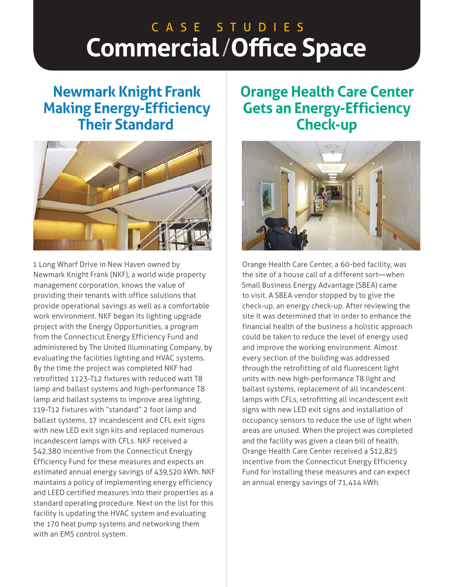# **Commercial**/**Office Space** C A S E S T U D I E S

## **Newmark Knight Frank Making Energy-Efficiency Their Standard**



1 Long Wharf Drive in New Haven owned by Newmark Knight Frank (NKF), a world wide property management corporation, knows the value of providing their tenants with office solutions that provide operational savings as well as a comfortable work environment. NKF began its lighting upgrade project with the Energy Opportunities, a program from the Connecticut Energy Efficiency Fund and administered by The United Illuminating Company, by evaluating the facilities lighting and HVAC systems. By the time the project was completed NKF had retrofitted 1123-T12 fixtures with reduced watt T8 lamp and ballast systems and high-performance T8 lamp and ballast systems to improve area lighting, 119-T12 fixtures with "standard" 2 foot lamp and ballast systems, 17 incandescent and CFL exit signs with new LED exit sign kits and replaced numerous incandescent lamps with CFLs. NKF received a \$42,380 incentive from the Connecticut Energy Efficiency Fund for these measures and expects an estimated annual energy savings of 439,520 kWh. NKF maintains a policy of implementing energy efficiency and LEED certified measures into their properties as a standard operating procedure. Next on the list for this facility is updating the HVAC system and evaluating the 170 heat pump systems and networking them with an EMS control system.

## **Orange Health Care Center Gets an Energy-Efficiency Check-up**



Orange Health Care Center, a 60-bed facility, was the site of a house call of a different sort—when Small Business Energy Advantage (SBEA) came to visit. A SBEA vendor stopped by to give the check-up, an energy check-up. After reviewing the site it was determined that in order to enhance the financial health of the business a holistic approach could be taken to reduce the level of energy used and improve the working environment. Almost every section of the building was addressed through the retrofitting of old fluorescent light units with new high-performance T8 light and ballast systems, replacement of all incandescent lamps with CFLs, retrofitting all incandescent exit signs with new LED exit signs and installation of occupancy sensors to reduce the use of light when areas are unused. When the project was completed and the facility was given a clean bill of health, Orange Health Care Center received a \$12,825 incentive from the Connecticut Energy Efficiency Fund for installing these measures and can expect an annual energy savings of 71,414 kWh.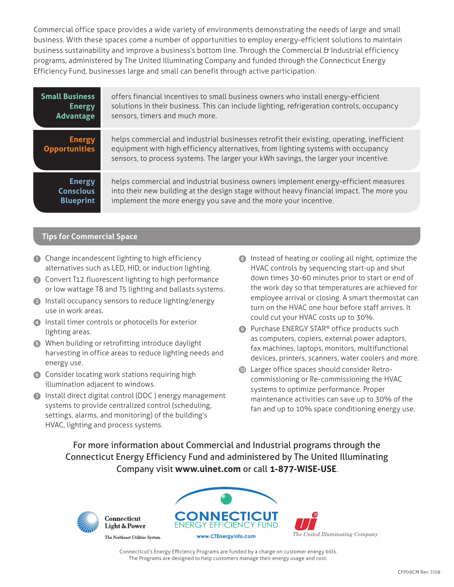Commercial office space provides a wide variety of environments demonstrating the needs of large and small business. With these spaces come a number of opportunities to employ energy-efficient solutions to maintain business sustainability and improve a business's bottom line. Through the Commercial & Industrial efficiency programs, administered by The United Illuminating Company and funded through the Connecticut Energy Efficiency Fund, businesses large and small can benefit through active participation.

| <b>Small Business</b>                 | offers financial incentives to small business owners who install energy-efficient                                                                                                                                                                                       |
|---------------------------------------|-------------------------------------------------------------------------------------------------------------------------------------------------------------------------------------------------------------------------------------------------------------------------|
| <b>Energy</b>                         | solutions in their business. This can include lighting, refrigeration controls, occupancy                                                                                                                                                                               |
| Advantage                             | sensors, timers and much more.                                                                                                                                                                                                                                          |
| <b>Energy</b><br><b>Opportunities</b> | helps commercial and industrial businesses retrofit their existing, operating, inefficient<br>equipment with high efficiency alternatives, from lighting systems with occupancy<br>sensors, to process systems. The larger your kWh savings, the larger your incentive. |
| <b>Energy</b>                         | helps commercial and industrial business owners implement energy-efficient measures                                                                                                                                                                                     |
| <b>Conscious</b>                      | into their new building at the design stage without heavy financial impact. The more you                                                                                                                                                                                |
| <b>Blueprint</b>                      | implement the more energy you save and the more your incentive.                                                                                                                                                                                                         |

### **Tips for Commercial Space**

- **1** Change incandescent lighting to high efficiency alternatives such as LED, HID, or induction lighting.
- 2 Convert T12 fluorescent lighting to high performance or low wattage T8 and T5 lighting and ballasts systems.
- 3 Install occupancy sensors to reduce lighting/energy use in work areas.
- 4 Install timer controls or photocells for exterior lighting areas.
- 5 When building or retrofitting introduce daylight harvesting in office areas to reduce lighting needs and energy use.
- 6 Consider locating work stations requiring high illumination adjacent to windows.
- 7 Install direct digital control (DDC ) energy management systems to provide centralized control (scheduling, settings, alarms, and monitoring) of the building's HVAC, lighting and process systems.
- 8 Instead of heating or cooling all night, optimize the HVAC controls by sequencing start-up and shut down times 30-60 minutes prior to start or end of the work day so that temperatures are achieved for employee arrival or closing. A smart thermostat can turn on the HVAC one hour before staff arrives. It could cut your HVAC costs up to 30%.
- **9** Purchase ENERGY STAR<sup>®</sup> office products such as computers, copiers, external power adaptors, fax machines, laptops, monitors, multifunctional devices, printers, scanners, water coolers and more.
- **In** Larger office spaces should consider Retrocommissioning or Re-commissioning the HVAC systems to optimize performance. Proper maintenance activities can save up to 30% of the fan and up to 10% space conditioning energy use.

For more information about Commercial and Industrial programs through the Connecticut Energy Efficiency Fund and administered by The United Illuminating Company visit **www.uinet.com** or call **1-877-WISE-USE**.



Connecticut **Light & Power** 



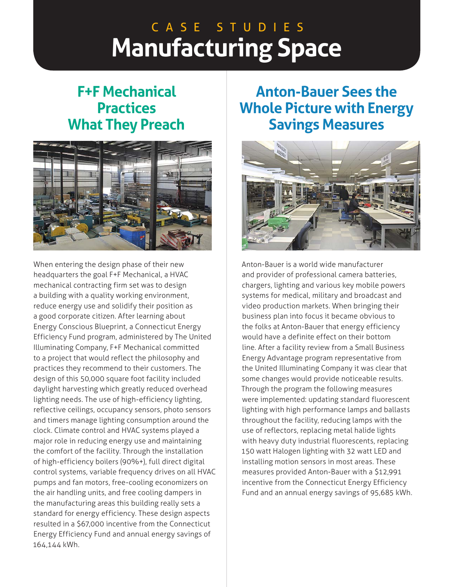# **Manufacturing Space** C A S E S T U D I E S

## **F+F Mechanical Practices What They Preach**



When entering the design phase of their new headquarters the goal F+F Mechanical, a HVAC mechanical contracting firm set was to design a building with a quality working environment, reduce energy use and solidify their position as a good corporate citizen. After learning about Energy Conscious Blueprint, a Connecticut Energy Efficiency Fund program, administered by The United Illuminating Company, F+F Mechanical committed to a project that would reflect the philosophy and practices they recommend to their customers. The design of this 50,000 square foot facility included daylight harvesting which greatly reduced overhead lighting needs. The use of high-efficiency lighting, reflective ceilings, occupancy sensors, photo sensors and timers manage lighting consumption around the clock. Climate control and HVAC systems played a major role in reducing energy use and maintaining the comfort of the facility. Through the installation of high-efficiency boilers (90%+), full direct digital control systems, variable frequency drives on all HVAC pumps and fan motors, free-cooling economizers on the air handling units, and free cooling dampers in the manufacturing areas this building really sets a standard for energy efficiency. These design aspects resulted in a \$67,000 incentive from the Connecticut Energy Efficiency Fund and annual energy savings of 164,144 kWh.

## **Anton-Bauer Sees the Whole Picture with Energy Savings Measures**



Anton-Bauer is a world wide manufacturer and provider of professional camera batteries, chargers, lighting and various key mobile powers systems for medical, military and broadcast and video production markets. When bringing their business plan into focus it became obvious to the folks at Anton-Bauer that energy efficiency would have a definite effect on their bottom line. After a facility review from a Small Business Energy Advantage program representative from the United Illuminating Company it was clear that some changes would provide noticeable results. Through the program the following measures were implemented: updating standard fluorescent lighting with high performance lamps and ballasts throughout the facility, reducing lamps with the use of reflectors, replacing metal halide lights with heavy duty industrial fluorescents, replacing 150 watt Halogen lighting with 32 watt LED and installing motion sensors in most areas. These measures provided Anton-Bauer with a \$12,991 incentive from the Connecticut Energy Efficiency Fund and an annual energy savings of 95,685 kWh.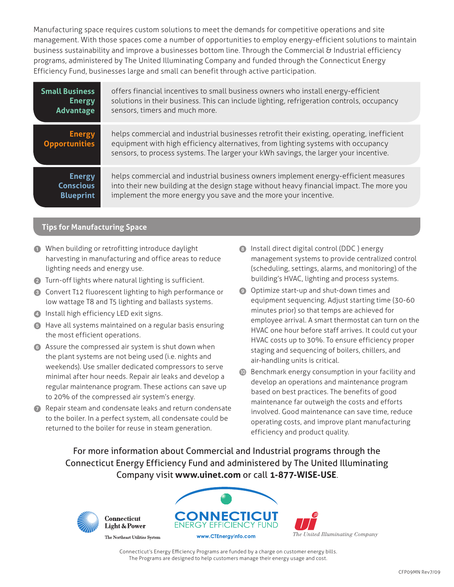Manufacturing space requires custom solutions to meet the demands for competitive operations and site management. With those spaces come a number of opportunities to employ energy-efficient solutions to maintain business sustainability and improve a businesses bottom line. Through the Commercial & Industrial efficiency programs, administered by The United Illuminating Company and funded through the Connecticut Energy Efficiency Fund, businesses large and small can benefit through active participation.

| <b>Small Business</b>                 | offers financial incentives to small business owners who install energy-efficient                                                                                                                                                                                       |
|---------------------------------------|-------------------------------------------------------------------------------------------------------------------------------------------------------------------------------------------------------------------------------------------------------------------------|
| <b>Energy</b>                         | solutions in their business. This can include lighting, refrigeration controls, occupancy                                                                                                                                                                               |
| Advantage                             | sensors, timers and much more.                                                                                                                                                                                                                                          |
| <b>Energy</b><br><b>Opportunities</b> | helps commercial and industrial businesses retrofit their existing, operating, inefficient<br>equipment with high efficiency alternatives, from lighting systems with occupancy<br>sensors, to process systems. The larger your kWh savings, the larger your incentive. |
| <b>Energy</b>                         | helps commercial and industrial business owners implement energy-efficient measures                                                                                                                                                                                     |
| <b>Conscious</b>                      | into their new building at the design stage without heavy financial impact. The more you                                                                                                                                                                                |
| <b>Blueprint</b>                      | implement the more energy you save and the more your incentive.                                                                                                                                                                                                         |

### **Tips for Manufacturing Space**

- **1** When building or retrofitting introduce daylight harvesting in manufacturing and office areas to reduce lighting needs and energy use.
- 2 Turn-off lights where natural lighting is sufficient.
- 3 Convert T12 fluorescent lighting to high performance or low wattage T8 and T5 lighting and ballasts systems.
- 4 Install high efficiency LED exit signs.
- 5 Have all systems maintained on a regular basis ensuring the most efficient operations.
- 6 Assure the compressed air system is shut down when the plant systems are not being used (i.e. nights and weekends). Use smaller dedicated compressors to serve minimal after hour needs. Repair air leaks and develop a regular maintenance program. These actions can save up to 20% of the compressed air system's energy.
- **7** Repair steam and condensate leaks and return condensate to the boiler. In a perfect system, all condensate could be returned to the boiler for reuse in steam generation.
- 8 Install direct digital control (DDC ) energy management systems to provide centralized control (scheduling, settings, alarms, and monitoring) of the building's HVAC, lighting and process systems.
- 9 Optimize start-up and shut-down times and equipment sequencing. Adjust starting time (30-60 minutes prior) so that temps are achieved for employee arrival. A smart thermostat can turn on the HVAC one hour before staff arrives. It could cut your HVAC costs up to 30%. To ensure efficiency proper staging and sequencing of boilers, chillers, and air-handling units is critical.
- **ID** Benchmark energy consumption in your facility and develop an operations and maintenance program based on best practices. The benefits of good maintenance far outweigh the costs and efforts involved. Good maintenance can save time, reduce operating costs, and improve plant manufacturing efficiency and product quality.

For more information about Commercial and Industrial programs through the Connecticut Energy Efficiency Fund and administered by The United Illuminating Company visit **www.uinet.com** or call **1-877-WISE-USE**.



**Connecticut Light & Power** 



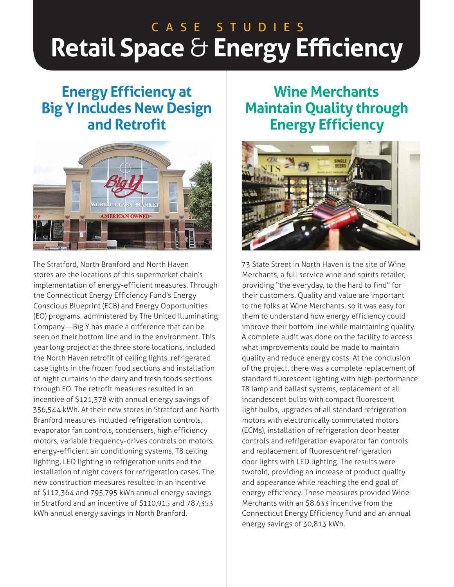# **Retail Space** & **Energy Efficiency** C A S E S T U D I E S

## **Energy Efficiency at Big Y Includes New Design and Retrofit**



The Stratford, North Branford and North Haven stores are the locations of this supermarket chain's implementation of energy-efficient measures. Through the Connecticut Energy Efficiency Fund's Energy Conscious Blueprint (ECB) and Energy Opportunities (EO) programs, administered by The United Illuminating Company—Big Y has made a difference that can be seen on their bottom line and in the environment. This year long project at the three store locations, included the North Haven retrofit of ceiling lights, refrigerated case lights in the frozen food sections and installation of night curtains in the dairy and fresh foods sections through EO. The retrofit measures resulted in an incentive of \$121,378 with annual energy savings of 356,544 kWh. At their new stores in Stratford and North Branford measures included refrigeration controls, evaporator fan controls, condensers, high efficiency motors, variable frequency-drives controls on motors, energy-efficient air conditioning systems, T8 ceiling lighting, LED lighting in refrigeration units and the installation of night covers for refrigeration cases. The new construction measures resulted in an incentive of \$112,364 and 795,795 kWh annual energy savings in Stratford and an incentive of \$110,915 and 787,353 kWh annual energy savings in North Branford.

## **Wine Merchants Maintain Quality through Energy Efficiency**



73 State Street in North Haven is the site of Wine Merchants, a full service wine and spirits retailer, providing "the everyday, to the hard to find" for their customers. Quality and value are important to the folks at Wine Merchants, so it was easy for them to understand how energy efficiency could improve their bottom line while maintaining quality. A complete audit was done on the facility to access what improvements could be made to maintain quality and reduce energy costs. At the conclusion of the project, there was a complete replacement of standard fluorescent lighting with high-performance T8 lamp and ballast systems, replacement of all incandescent bulbs with compact fluorescent light bulbs, upgrades of all standard refrigeration motors with electronically commutated motors (ECMs), installation of refrigeration door heater controls and refrigeration evaporator fan controls and replacement of fluorescent refrigeration door lights with LED lighting. The results were twofold, providing an increase of product quality and appearance while reaching the end goal of energy efficiency. These measures provided Wine Merchants with an \$8,633 incentive from the Connecticut Energy Efficiency Fund and an annual energy savings of 30,813 kWh.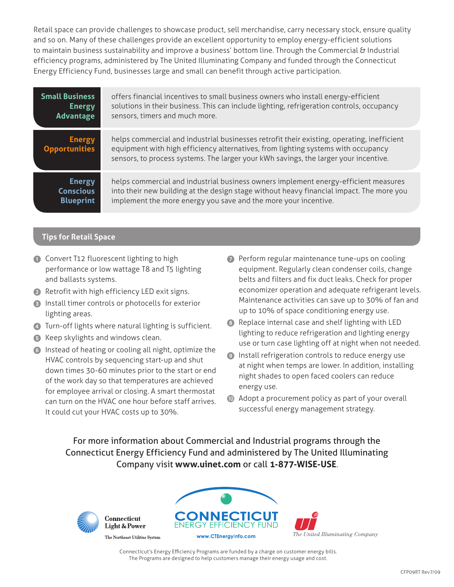Retail space can provide challenges to showcase product, sell merchandise, carry necessary stock, ensure quality and so on. Many of these challenges provide an excellent opportunity to employ energy-efficient solutions to maintain business sustainability and improve a business' bottom line. Through the Commercial & Industrial efficiency programs, administered by The United Illuminating Company and funded through the Connecticut Energy Efficiency Fund, businesses large and small can benefit through active participation.

| <b>Small Business</b>                 | offers financial incentives to small business owners who install energy-efficient                                                                                                                                                                                       |
|---------------------------------------|-------------------------------------------------------------------------------------------------------------------------------------------------------------------------------------------------------------------------------------------------------------------------|
| <b>Energy</b>                         | solutions in their business. This can include lighting, refrigeration controls, occupancy                                                                                                                                                                               |
| Advantage                             | sensors, timers and much more.                                                                                                                                                                                                                                          |
| <b>Energy</b><br><b>Opportunities</b> | helps commercial and industrial businesses retrofit their existing, operating, inefficient<br>equipment with high efficiency alternatives, from lighting systems with occupancy<br>sensors, to process systems. The larger your kWh savings, the larger your incentive. |
| <b>Energy</b>                         | helps commercial and industrial business owners implement energy-efficient measures                                                                                                                                                                                     |
| <b>Conscious</b>                      | into their new building at the design stage without heavy financial impact. The more you                                                                                                                                                                                |
| <b>Blueprint</b>                      | implement the more energy you save and the more your incentive.                                                                                                                                                                                                         |

### **Tips for Retail Space**

- **1** Convert T12 fluorescent lighting to high performance or low wattage T8 and T5 lighting and ballasts systems.
- 2 Retrofit with high efficiency LED exit signs.
- 3 Install timer controls or photocells for exterior lighting areas.
- 4 Turn-off lights where natural lighting is sufficient.
- 5 Keep skylights and windows clean.
- 6 Instead of heating or cooling all night, optimize the HVAC controls by sequencing start-up and shut down times 30-60 minutes prior to the start or end of the work day so that temperatures are achieved for employee arrival or closing. A smart thermostat can turn on the HVAC one hour before staff arrives. It could cut your HVAC costs up to 30%.
- 7 Perform regular maintenance tune-ups on cooling equipment. Regularly clean condenser coils, change belts and filters and fix duct leaks. Check for proper economizer operation and adequate refrigerant levels. Maintenance activities can save up to 30% of fan and up to 10% of space conditioning energy use.
- 8 Replace internal case and shelf lighting with LED lighting to reduce refrigeration and lighting energy use or turn case lighting off at night when not needed.
- 9 Install refrigeration controls to reduce energy use at night when temps are lower. In addition, installing night shades to open faced coolers can reduce energy use.
- $\bullet$  Adopt a procurement policy as part of your overall successful energy management strategy.

For more information about Commercial and Industrial programs through the Connecticut Energy Efficiency Fund and administered by The United Illuminating Company visit **www.uinet.com** or call **1-877-WISE-USE**.



Connecticut **Light & Power** 



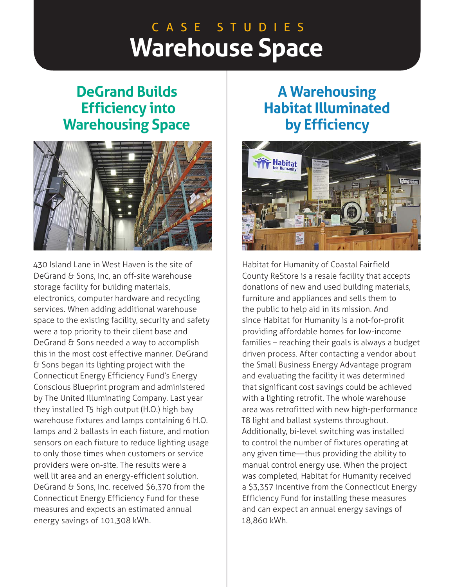## **Warehouse Space** C A S E S T U D I E S

## **DeGrand Builds Efficiency into Warehousing Space**



430 Island Lane in West Haven is the site of DeGrand & Sons, Inc, an off-site warehouse storage facility for building materials, electronics, computer hardware and recycling services. When adding additional warehouse space to the existing facility, security and safety were a top priority to their client base and DeGrand & Sons needed a way to accomplish this in the most cost effective manner. DeGrand & Sons began its lighting project with the Connecticut Energy Efficiency Fund's Energy Conscious Blueprint program and administered by The United Illuminating Company. Last year they installed T5 high output (H.O.) high bay warehouse fixtures and lamps containing 6 H.O. lamps and 2 ballasts in each fixture, and motion sensors on each fixture to reduce lighting usage to only those times when customers or service providers were on-site. The results were a well lit area and an energy-efficient solution. DeGrand & Sons, Inc. received \$6,370 from the Connecticut Energy Efficiency Fund for these measures and expects an estimated annual energy savings of 101,308 kWh.

## **A Warehousing Habitat Illuminated by Efficiency**



Habitat for Humanity of Coastal Fairfield County ReStore is a resale facility that accepts donations of new and used building materials, furniture and appliances and sells them to the public to help aid in its mission. And since Habitat for Humanity is a not-for-profit providing affordable homes for low-income families – reaching their goals is always a budget driven process. After contacting a vendor about the Small Business Energy Advantage program and evaluating the facility it was determined that significant cost savings could be achieved with a lighting retrofit. The whole warehouse area was retrofitted with new high-performance T8 light and ballast systems throughout. Additionally, bi-level switching was installed to control the number of fixtures operating at any given time—thus providing the ability to manual control energy use. When the project was completed, Habitat for Humanity received a \$3,357 incentive from the Connecticut Energy Efficiency Fund for installing these measures and can expect an annual energy savings of 18,860 kWh.